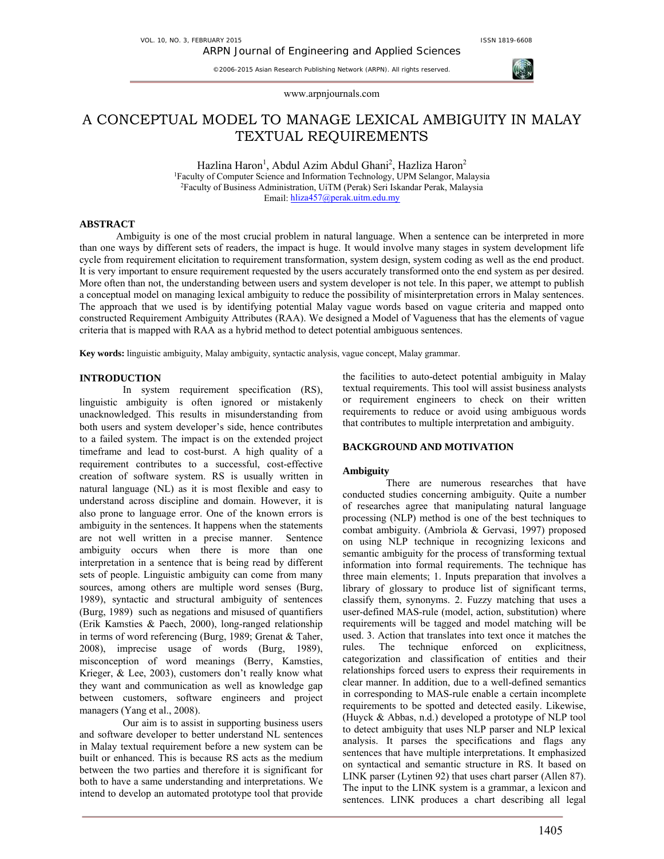www.arpnjournals.com

# A CONCEPTUAL MODEL TO MANAGE LEXICAL AMBIGUITY IN MALAY TEXTUAL REQUIREMENTS

Hazlina Haron<sup>1</sup>, Abdul Azim Abdul Ghani<sup>2</sup>, Hazliza Haron<sup>2</sup> 1Faculty of Computer Science and Information Technology, UPM Selangor, Malaysia 2 Faculty of Business Administration, UiTM (Perak) Seri Iskandar Perak, Malaysia Email: hliza457@perak.uitm.edu.my

## **ABSTRACT**

Ambiguity is one of the most crucial problem in natural language. When a sentence can be interpreted in more than one ways by different sets of readers, the impact is huge. It would involve many stages in system development life cycle from requirement elicitation to requirement transformation, system design, system coding as well as the end product. It is very important to ensure requirement requested by the users accurately transformed onto the end system as per desired. More often than not, the understanding between users and system developer is not tele. In this paper, we attempt to publish a conceptual model on managing lexical ambiguity to reduce the possibility of misinterpretation errors in Malay sentences. The approach that we used is by identifying potential Malay vague words based on vague criteria and mapped onto constructed Requirement Ambiguity Attributes (RAA). We designed a Model of Vagueness that has the elements of vague criteria that is mapped with RAA as a hybrid method to detect potential ambiguous sentences.

**Key words:** linguistic ambiguity, Malay ambiguity, syntactic analysis, vague concept, Malay grammar.

## **INTRODUCTION**

In system requirement specification (RS), linguistic ambiguity is often ignored or mistakenly unacknowledged. This results in misunderstanding from both users and system developer's side, hence contributes to a failed system. The impact is on the extended project timeframe and lead to cost-burst. A high quality of a requirement contributes to a successful, cost-effective creation of software system. RS is usually written in natural language (NL) as it is most flexible and easy to understand across discipline and domain. However, it is also prone to language error. One of the known errors is ambiguity in the sentences. It happens when the statements are not well written in a precise manner. Sentence ambiguity occurs when there is more than one interpretation in a sentence that is being read by different sets of people. Linguistic ambiguity can come from many sources, among others are multiple word senses (Burg, 1989), syntactic and structural ambiguity of sentences (Burg, 1989) such as negations and misused of quantifiers (Erik Kamsties & Paech, 2000), long-ranged relationship in terms of word referencing (Burg, 1989; Grenat & Taher, 2008), imprecise usage of words (Burg, 1989), misconception of word meanings (Berry, Kamsties, Krieger, & Lee, 2003), customers don't really know what they want and communication as well as knowledge gap between customers, software engineers and project managers (Yang et al., 2008).

Our aim is to assist in supporting business users and software developer to better understand NL sentences in Malay textual requirement before a new system can be built or enhanced. This is because RS acts as the medium between the two parties and therefore it is significant for both to have a same understanding and interpretations. We intend to develop an automated prototype tool that provide

the facilities to auto-detect potential ambiguity in Malay textual requirements. This tool will assist business analysts or requirement engineers to check on their written requirements to reduce or avoid using ambiguous words that contributes to multiple interpretation and ambiguity.

## **BACKGROUND AND MOTIVATION**

## **Ambiguity**

There are numerous researches that have conducted studies concerning ambiguity. Quite a number of researches agree that manipulating natural language processing (NLP) method is one of the best techniques to combat ambiguity. (Ambriola & Gervasi, 1997) proposed on using NLP technique in recognizing lexicons and semantic ambiguity for the process of transforming textual information into formal requirements. The technique has three main elements; 1. Inputs preparation that involves a library of glossary to produce list of significant terms, classify them, synonyms. 2. Fuzzy matching that uses a user-defined MAS-rule (model, action, substitution) where requirements will be tagged and model matching will be used. 3. Action that translates into text once it matches the rules. The technique enforced on explicitness, categorization and classification of entities and their relationships forced users to express their requirements in clear manner. In addition, due to a well-defined semantics in corresponding to MAS-rule enable a certain incomplete requirements to be spotted and detected easily. Likewise, (Huyck & Abbas, n.d.) developed a prototype of NLP tool to detect ambiguity that uses NLP parser and NLP lexical analysis. It parses the specifications and flags any sentences that have multiple interpretations. It emphasized on syntactical and semantic structure in RS. It based on LINK parser (Lytinen 92) that uses chart parser (Allen 87). The input to the LINK system is a grammar, a lexicon and sentences. LINK produces a chart describing all legal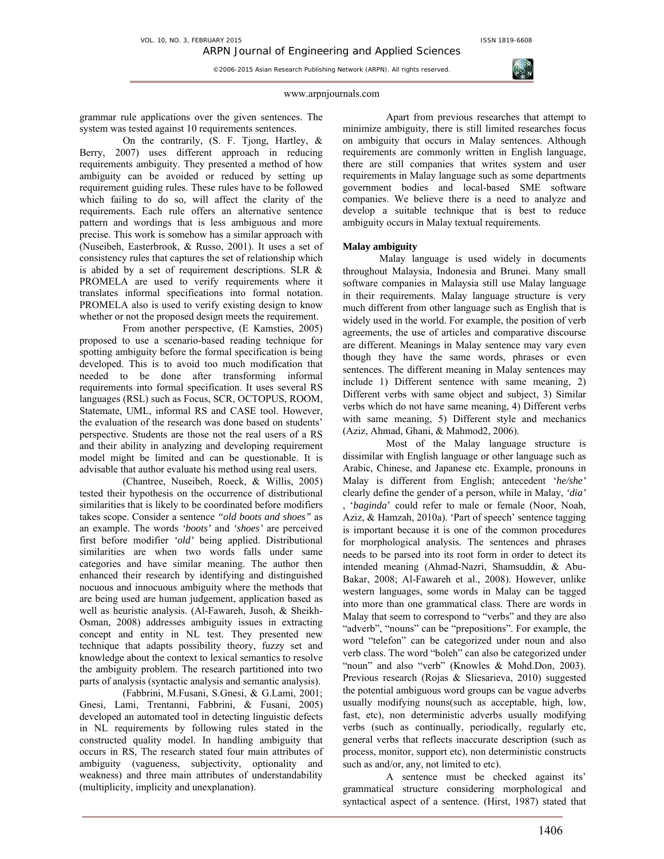

### www.arpnjournals.com

grammar rule applications over the given sentences. The system was tested against 10 requirements sentences.

On the contrarily, (S. F. Tjong, Hartley, & Berry, 2007) uses different approach in reducing requirements ambiguity. They presented a method of how ambiguity can be avoided or reduced by setting up requirement guiding rules. These rules have to be followed which failing to do so, will affect the clarity of the requirements. Each rule offers an alternative sentence pattern and wordings that is less ambiguous and more precise. This work is somehow has a similar approach with (Nuseibeh, Easterbrook, & Russo, 2001). It uses a set of consistency rules that captures the set of relationship which is abided by a set of requirement descriptions. SLR & PROMELA are used to verify requirements where it translates informal specifications into formal notation. PROMELA also is used to verify existing design to know whether or not the proposed design meets the requirement.

From another perspective, (E Kamsties, 2005) proposed to use a scenario-based reading technique for spotting ambiguity before the formal specification is being developed. This is to avoid too much modification that needed to be done after transforming informal requirements into formal specification. It uses several RS languages (RSL) such as Focus, SCR, OCTOPUS, ROOM, Statemate, UML, informal RS and CASE tool. However, the evaluation of the research was done based on students' perspective. Students are those not the real users of a RS and their ability in analyzing and developing requirement model might be limited and can be questionable. It is advisable that author evaluate his method using real users.

(Chantree, Nuseibeh, Roeck, & Willis, 2005) tested their hypothesis on the occurrence of distributional similarities that is likely to be coordinated before modifiers takes scope. Consider a sentence *"old boots and shoes"* as an example. The words *'boots'* and *'shoes'* are perceived first before modifier *'old'* being applied. Distributional similarities are when two words falls under same categories and have similar meaning. The author then enhanced their research by identifying and distinguished nocuous and innocuous ambiguity where the methods that are being used are human judgement, application based as well as heuristic analysis. (Al-Fawareh, Jusoh, & Sheikh-Osman, 2008) addresses ambiguity issues in extracting concept and entity in NL test. They presented new technique that adapts possibility theory, fuzzy set and knowledge about the context to lexical semantics to resolve the ambiguity problem. The research partitioned into two parts of analysis (syntactic analysis and semantic analysis).

(Fabbrini, M.Fusani, S.Gnesi, & G.Lami, 2001; Gnesi, Lami, Trentanni, Fabbrini, & Fusani, 2005) developed an automated tool in detecting linguistic defects in NL requirements by following rules stated in the constructed quality model. In handling ambiguity that occurs in RS, The research stated four main attributes of ambiguity (vagueness, subjectivity, optionality and weakness) and three main attributes of understandability (multiplicity, implicity and unexplanation).

Apart from previous researches that attempt to minimize ambiguity, there is still limited researches focus on ambiguity that occurs in Malay sentences. Although requirements are commonly written in English language, there are still companies that writes system and user requirements in Malay language such as some departments government bodies and local-based SME software companies. We believe there is a need to analyze and develop a suitable technique that is best to reduce ambiguity occurs in Malay textual requirements.

## **Malay ambiguity**

Malay language is used widely in documents throughout Malaysia, Indonesia and Brunei. Many small software companies in Malaysia still use Malay language in their requirements. Malay language structure is very much different from other language such as English that is widely used in the world. For example, the position of verb agreements, the use of articles and comparative discourse are different. Meanings in Malay sentence may vary even though they have the same words, phrases or even sentences. The different meaning in Malay sentences may include 1) Different sentence with same meaning, 2) Different verbs with same object and subject, 3) Similar verbs which do not have same meaning, 4) Different verbs with same meaning, 5) Different style and mechanics (Aziz, Ahmad, Ghani, & Mahmod2, 2006).

Most of the Malay language structure is dissimilar with English language or other language such as Arabic, Chinese, and Japanese etc. Example, pronouns in Malay is different from English; antecedent '*he/she'* clearly define the gender of a person, while in Malay, *'dia'* , '*baginda*' could refer to male or female (Noor, Noah, Aziz, & Hamzah, 2010a). 'Part of speech' sentence tagging is important because it is one of the common procedures for morphological analysis. The sentences and phrases needs to be parsed into its root form in order to detect its intended meaning (Ahmad-Nazri, Shamsuddin, & Abu-Bakar, 2008; Al-Fawareh et al., 2008). However, unlike western languages, some words in Malay can be tagged into more than one grammatical class. There are words in Malay that seem to correspond to "verbs" and they are also "adverb", "nouns" can be "prepositions". For example, the word "telefon" can be categorized under noun and also verb class. The word "boleh" can also be categorized under "noun" and also "verb" (Knowles & Mohd.Don, 2003). Previous research (Rojas & Sliesarieva, 2010) suggested the potential ambiguous word groups can be vague adverbs usually modifying nouns(such as acceptable, high, low, fast, etc), non deterministic adverbs usually modifying verbs (such as continually, periodically, regularly etc, general verbs that reflects inaccurate description (such as process, monitor, support etc), non deterministic constructs such as and/or, any, not limited to etc).

A sentence must be checked against its' grammatical structure considering morphological and syntactical aspect of a sentence. (Hirst, 1987) stated that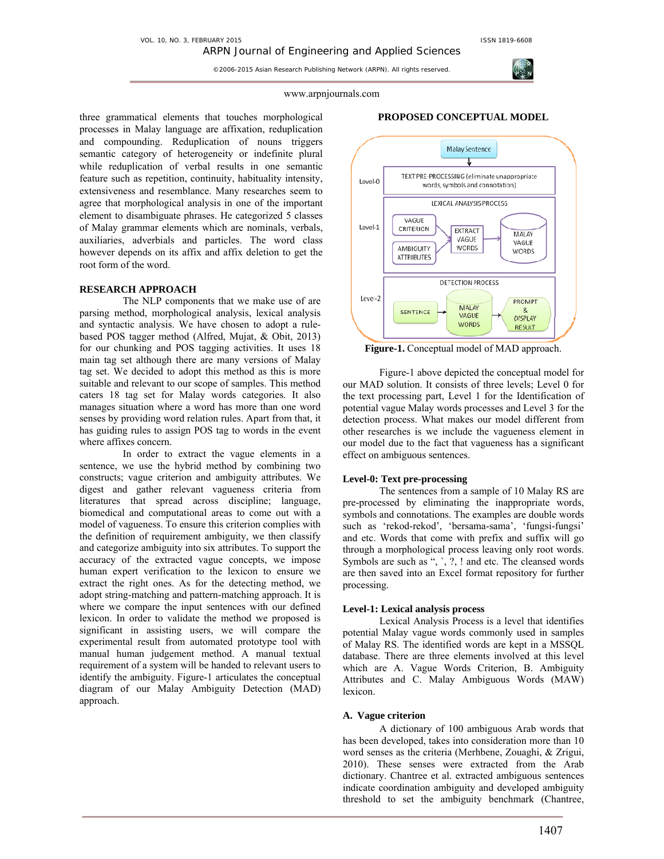

### www.arpnjournals.com

three grammatical elements that touches morphological processes in Malay language are affixation, reduplication and compounding. Reduplication of nouns triggers semantic category of heterogeneity or indefinite plural while reduplication of verbal results in one semantic feature such as repetition, continuity, habituality intensity, extensiveness and resemblance. Many researches seem to agree that morphological analysis in one of the important element to disambiguate phrases. He categorized 5 classes of Malay grammar elements which are nominals, verbals, auxiliaries, adverbials and particles. The word class however depends on its affix and affix deletion to get the root form of the word.

## **RESEARCH APPROACH**

The NLP components that we make use of are parsing method, morphological analysis, lexical analysis and syntactic analysis. We have chosen to adopt a rulebased POS tagger method (Alfred, Mujat, & Obit, 2013) for our chunking and POS tagging activities. It uses 18 main tag set although there are many versions of Malay tag set. We decided to adopt this method as this is more suitable and relevant to our scope of samples. This method caters 18 tag set for Malay words categories. It also manages situation where a word has more than one word senses by providing word relation rules. Apart from that, it has guiding rules to assign POS tag to words in the event where affixes concern.

In order to extract the vague elements in a sentence, we use the hybrid method by combining two constructs; vague criterion and ambiguity attributes. We digest and gather relevant vagueness criteria from literatures that spread across discipline; language, biomedical and computational areas to come out with a model of vagueness. To ensure this criterion complies with the definition of requirement ambiguity, we then classify and categorize ambiguity into six attributes. To support the accuracy of the extracted vague concepts, we impose human expert verification to the lexicon to ensure we extract the right ones. As for the detecting method, we adopt string-matching and pattern-matching approach. It is where we compare the input sentences with our defined lexicon. In order to validate the method we proposed is significant in assisting users, we will compare the experimental result from automated prototype tool with manual human judgement method. A manual textual requirement of a system will be handed to relevant users to identify the ambiguity. Figure-1 articulates the conceptual diagram of our Malay Ambiguity Detection (MAD) approach.

### **PROPOSED CONCEPTUAL MODEL**



**Figure-1.** Conceptual model of MAD approach.

 Figure-1 above depicted the conceptual model for our MAD solution. It consists of three levels; Level 0 for the text processing part, Level 1 for the Identification of potential vague Malay words processes and Level 3 for the detection process. What makes our model different from other researches is we include the vagueness element in our model due to the fact that vagueness has a significant effect on ambiguous sentences.

## **Level-0: Text pre-processing**

The sentences from a sample of 10 Malay RS are pre-processed by eliminating the inappropriate words, symbols and connotations. The examples are double words such as 'rekod-rekod', 'bersama-sama', 'fungsi-fungsi' and etc. Words that come with prefix and suffix will go through a morphological process leaving only root words. Symbols are such as ", `, ?, ! and etc. The cleansed words are then saved into an Excel format repository for further processing.

## **Level-1: Lexical analysis process**

Lexical Analysis Process is a level that identifies potential Malay vague words commonly used in samples of Malay RS. The identified words are kept in a MSSQL database. There are three elements involved at this level which are A. Vague Words Criterion, B. Ambiguity Attributes and C. Malay Ambiguous Words (MAW) lexicon.

## **A. Vague criterion**

A dictionary of 100 ambiguous Arab words that has been developed, takes into consideration more than 10 word senses as the criteria (Merhbene, Zouaghi, & Zrigui, 2010). These senses were extracted from the Arab dictionary. Chantree et al. extracted ambiguous sentences indicate coordination ambiguity and developed ambiguity threshold to set the ambiguity benchmark (Chantree,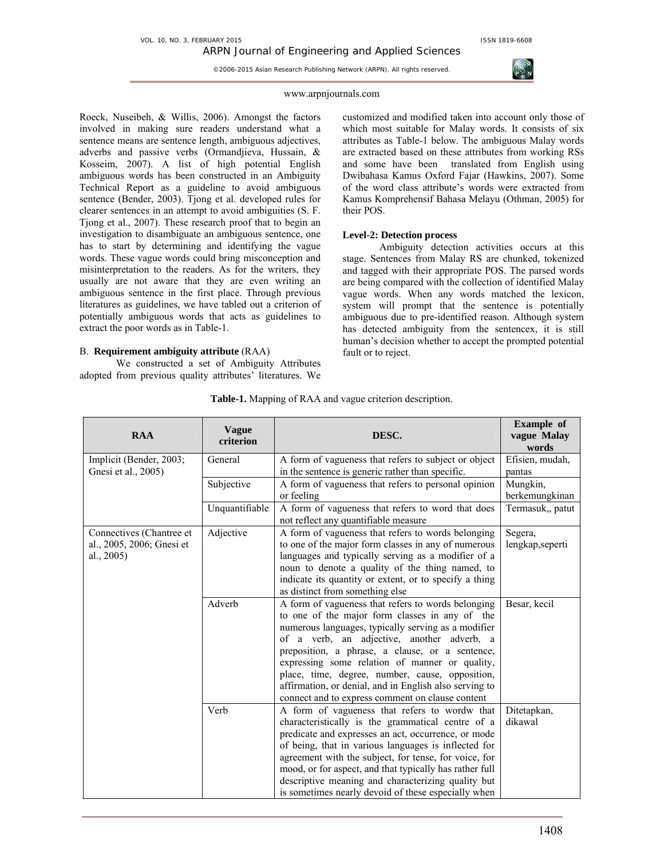

### www.arpnjournals.com

Roeck, Nuseibeh, & Willis, 2006). Amongst the factors involved in making sure readers understand what a sentence means are sentence length, ambiguous adjectives, adverbs and passive verbs (Ormandjieva, Hussain, & Kosseim, 2007). A list of high potential English ambiguous words has been constructed in an Ambiguity Technical Report as a guideline to avoid ambiguous sentence (Bender, 2003). Tjong et al. developed rules for clearer sentences in an attempt to avoid ambiguities (S. F. Tjong et al., 2007). These research proof that to begin an investigation to disambiguate an ambiguous sentence, one has to start by determining and identifying the vague words. These vague words could bring misconception and misinterpretation to the readers. As for the writers, they usually are not aware that they are even writing an ambiguous sentence in the first place. Through previous literatures as guidelines, we have tabled out a criterion of potentially ambiguous words that acts as guidelines to extract the poor words as in Table-1.

## B. **Requirement ambiguity attribute** (RAA)

We constructed a set of Ambiguity Attributes adopted from previous quality attributes' literatures. We customized and modified taken into account only those of which most suitable for Malay words. It consists of six attributes as Table-1 below. The ambiguous Malay words are extracted based on these attributes from working RSs and some have been translated from English using Dwibahasa Kamus Oxford Fajar (Hawkins, 2007). Some of the word class attribute's words were extracted from Kamus Komprehensif Bahasa Melayu (Othman, 2005) for their POS.

# **Level-2: Detection process**

Ambiguity detection activities occurs at this stage. Sentences from Malay RS are chunked, tokenized and tagged with their appropriate POS. The parsed words are being compared with the collection of identified Malay vague words. When any words matched the lexicon, system will prompt that the sentence is potentially ambiguous due to pre-identified reason. Although system has detected ambiguity from the sentencex, it is still human's decision whether to accept the prompted potential fault or to reject.

| <b>RAA</b>                | <b>Vague</b><br>criterion | DESC.                                                                                                         | <b>Example</b> of<br>vague Malay<br>words |
|---------------------------|---------------------------|---------------------------------------------------------------------------------------------------------------|-------------------------------------------|
| Implicit (Bender, 2003;   | General                   | A form of vagueness that refers to subject or object                                                          | Efisien, mudah,                           |
| Gnesi et al., 2005)       |                           | in the sentence is generic rather than specific.                                                              | pantas                                    |
|                           | Subjective                | A form of vagueness that refers to personal opinion                                                           | Mungkin,                                  |
|                           |                           | or feeling                                                                                                    | berkemungkinan                            |
|                           | Unquantifiable            | A form of vagueness that refers to word that does                                                             | Termasuk,, patut                          |
|                           |                           | not reflect any quantifiable measure                                                                          |                                           |
| Connectives (Chantree et  | Adjective                 | A form of vagueness that refers to words belonging                                                            | Segera,                                   |
| al., 2005, 2006; Gnesi et |                           | to one of the major form classes in any of numerous                                                           | lengkap, seperti                          |
| al., 2005)                |                           | languages and typically serving as a modifier of a                                                            |                                           |
|                           |                           | noun to denote a quality of the thing named, to                                                               |                                           |
|                           |                           | indicate its quantity or extent, or to specify a thing                                                        |                                           |
|                           |                           | as distinct from something else                                                                               |                                           |
|                           | Adverb                    | A form of vagueness that refers to words belonging                                                            | Besar, kecil                              |
|                           |                           | to one of the major form classes in any of the                                                                |                                           |
|                           |                           | numerous languages, typically serving as a modifier                                                           |                                           |
|                           |                           | of a verb, an adjective, another adverb, a                                                                    |                                           |
|                           |                           | preposition, a phrase, a clause, or a sentence,                                                               |                                           |
|                           |                           | expressing some relation of manner or quality,                                                                |                                           |
|                           |                           | place, time, degree, number, cause, opposition,                                                               |                                           |
|                           |                           | affirmation, or denial, and in English also serving to                                                        |                                           |
|                           |                           | connect and to express comment on clause content                                                              |                                           |
|                           | Verb                      | A form of vagueness that refers to wordw that                                                                 | Ditetapkan,<br>dikawal                    |
|                           |                           | characteristically is the grammatical centre of a                                                             |                                           |
|                           |                           | predicate and expresses an act, occurrence, or mode                                                           |                                           |
|                           |                           | of being, that in various languages is inflected for<br>agreement with the subject, for tense, for voice, for |                                           |
|                           |                           | mood, or for aspect, and that typically has rather full                                                       |                                           |
|                           |                           | descriptive meaning and characterizing quality but                                                            |                                           |
|                           |                           | is sometimes nearly devoid of these especially when                                                           |                                           |
|                           |                           |                                                                                                               |                                           |

**Table-1.** Mapping of RAA and vague criterion description.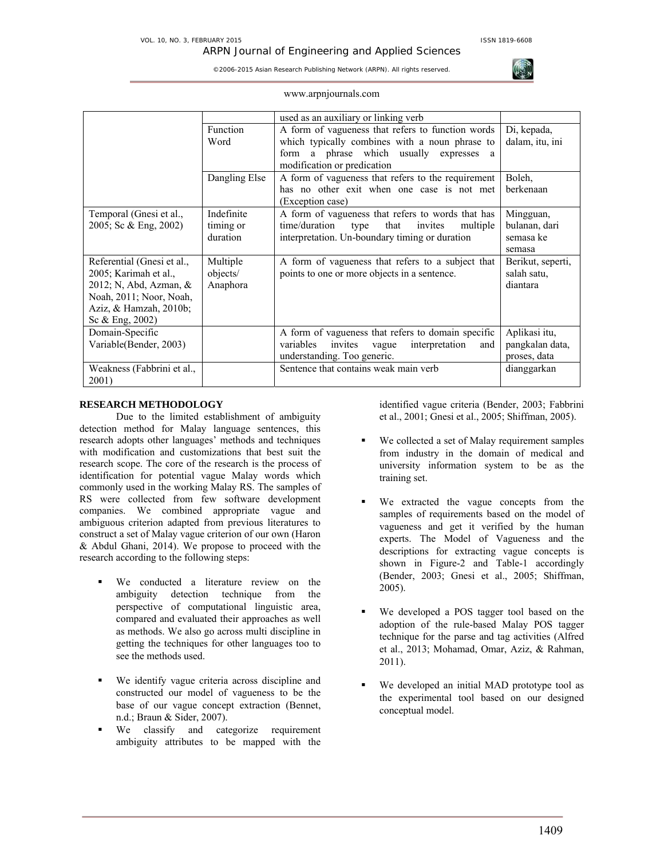

|  | www.arpnjournals.com |  |
|--|----------------------|--|
|  |                      |  |
|  |                      |  |

|                            |               | used as an auxiliary or linking verb                |                   |
|----------------------------|---------------|-----------------------------------------------------|-------------------|
|                            | Function      | A form of vagueness that refers to function words   | Di, kepada,       |
|                            | Word          | which typically combines with a noun phrase to      | dalam, itu, ini   |
|                            |               | form a phrase which usually<br>expresses<br>a       |                   |
|                            |               | modification or predication                         |                   |
|                            | Dangling Else | A form of vagueness that refers to the requirement  | Boleh,            |
|                            |               | has no other exit when one case is not met          | berkenaan         |
|                            |               | (Exception case)                                    |                   |
| Temporal (Gnesi et al.,    | Indefinite    | A form of vagueness that refers to words that has   | Mingguan,         |
| 2005; Sc & Eng, 2002)      | timing or     | time/duration<br>type that invites<br>multiple      | bulanan, dari     |
|                            | duration      | interpretation. Un-boundary timing or duration      | semasa ke         |
|                            |               |                                                     | semasa            |
| Referential (Gnesi et al., | Multiple      | A form of vagueness that refers to a subject that   | Berikut, seperti, |
| 2005; Karimah et al.,      | objects/      | points to one or more objects in a sentence.        | salah satu.       |
| 2012; N, Abd, Azman, &     | Anaphora      |                                                     | diantara          |
| Noah, 2011; Noor, Noah,    |               |                                                     |                   |
| Aziz, & Hamzah, 2010b;     |               |                                                     |                   |
| Sc $&$ Eng. 2002)          |               |                                                     |                   |
| Domain-Specific            |               | A form of vagueness that refers to domain specific  | Aplikasi itu,     |
| Variable(Bender, 2003)     |               | variables invites<br>interpretation<br>vague<br>and | pangkalan data,   |
|                            |               | understanding. Too generic.                         | proses, data      |
| Weakness (Fabbrini et al., |               | Sentence that contains weak main verb               | dianggarkan       |
| 2001)                      |               |                                                     |                   |

# **RESEARCH METHODOLOGY**

Due to the limited establishment of ambiguity detection method for Malay language sentences, this research adopts other languages' methods and techniques with modification and customizations that best suit the research scope. The core of the research is the process of identification for potential vague Malay words which commonly used in the working Malay RS. The samples of RS were collected from few software development companies. We combined appropriate vague and ambiguous criterion adapted from previous literatures to construct a set of Malay vague criterion of our own (Haron & Abdul Ghani, 2014). We propose to proceed with the research according to the following steps:

- We conducted a literature review on the ambiguity detection technique from the perspective of computational linguistic area, compared and evaluated their approaches as well as methods. We also go across multi discipline in getting the techniques for other languages too to see the methods used.
- We identify vague criteria across discipline and constructed our model of vagueness to be the base of our vague concept extraction (Bennet, n.d.; Braun & Sider, 2007).
- We classify and categorize requirement ambiguity attributes to be mapped with the

identified vague criteria (Bender, 2003; Fabbrini et al., 2001; Gnesi et al., 2005; Shiffman, 2005).

- We collected a set of Malay requirement samples from industry in the domain of medical and university information system to be as the training set.
- We extracted the vague concepts from the samples of requirements based on the model of vagueness and get it verified by the human experts. The Model of Vagueness and the descriptions for extracting vague concepts is shown in Figure-2 and Table-1 accordingly (Bender, 2003; Gnesi et al., 2005; Shiffman, 2005).
- We developed a POS tagger tool based on the adoption of the rule-based Malay POS tagger technique for the parse and tag activities (Alfred et al., 2013; Mohamad, Omar, Aziz, & Rahman, 2011).
- We developed an initial MAD prototype tool as the experimental tool based on our designed conceptual model.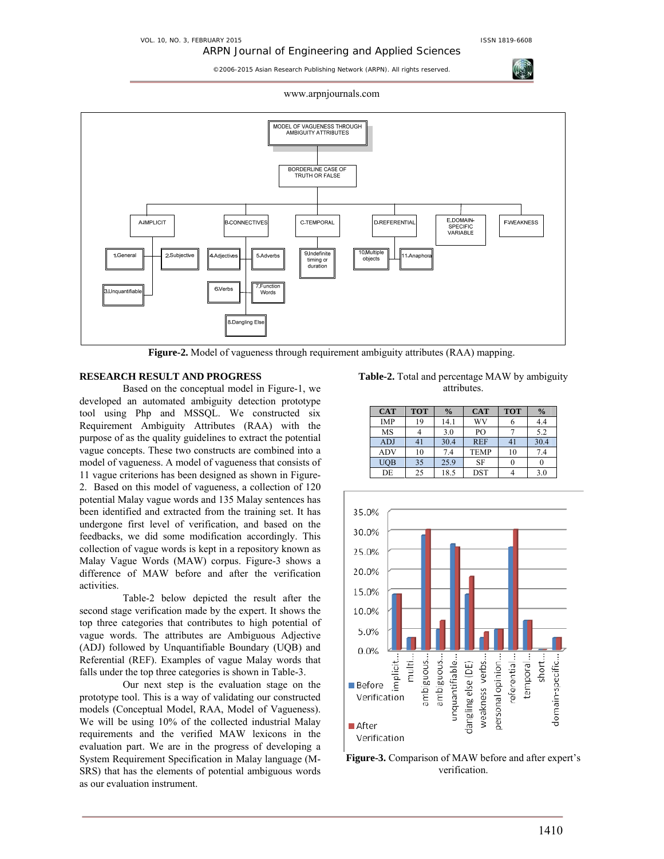ARPN Journal of Engineering and Applied Sciences

©2006-2015 Asian Research Publishing Network (ARPN). All rights reserved.

www.arpnjournals.com



**Figure-2.** Model of vagueness through requirement ambiguity attributes (RAA) mapping.

# **RESEARCH RESULT AND PROGRESS**

Based on the conceptual model in Figure-1, we developed an automated ambiguity detection prototype tool using Php and MSSQL. We constructed six Requirement Ambiguity Attributes (RAA) with the purpose of as the quality guidelines to extract the potential vague concepts. These two constructs are combined into a model of vagueness. A model of vagueness that consists of 11 vague criterions has been designed as shown in Figure-2. Based on this model of vagueness, a collection of 120 potential Malay vague words and 135 Malay sentences has been identified and extracted from the training set. It has undergone first level of verification, and based on the feedbacks, we did some modification accordingly. This collection of vague words is kept in a repository known as Malay Vague Words (MAW) corpus. Figure-3 shows a difference of MAW before and after the verification activities.

Table-2 below depicted the result after the second stage verification made by the expert. It shows the top three categories that contributes to high potential of vague words. The attributes are Ambiguous Adjective (ADJ) followed by Unquantifiable Boundary (UQB) and Referential (REF). Examples of vague Malay words that falls under the top three categories is shown in Table-3.

Our next step is the evaluation stage on the prototype tool. This is a way of validating our constructed models (Conceptual Model, RAA, Model of Vagueness). We will be using 10% of the collected industrial Malay requirements and the verified MAW lexicons in the evaluation part. We are in the progress of developing a System Requirement Specification in Malay language (M-SRS) that has the elements of potential ambiguous words as our evaluation instrument.

| <b>Table-2.</b> Total and percentage MAW by ambiguity |  |
|-------------------------------------------------------|--|
| attributes.                                           |  |

| <b>CAT</b> | <b>TOT</b> | $\frac{0}{0}$ | <b>CAT</b>  | <b>TOT</b> | $\frac{0}{0}$ |
|------------|------------|---------------|-------------|------------|---------------|
| <b>IMP</b> | 19         | 14.1          | WV          |            | 4.4           |
| MS         |            | 3.0           | PO          |            | 5.2           |
| ADJ        | 41         | 30.4          | <b>REF</b>  | 41         | 30.4          |
| ADV        | 10         | 7.4           | <b>TEMP</b> | 10         | 7.4           |
| UQB        | 35         | 25.9          | <b>SF</b>   |            |               |
| DE         | 25         | 18.5          | <b>DST</b>  |            | 3.0           |



**Figure-3.** Comparison of MAW before and after expert's verification.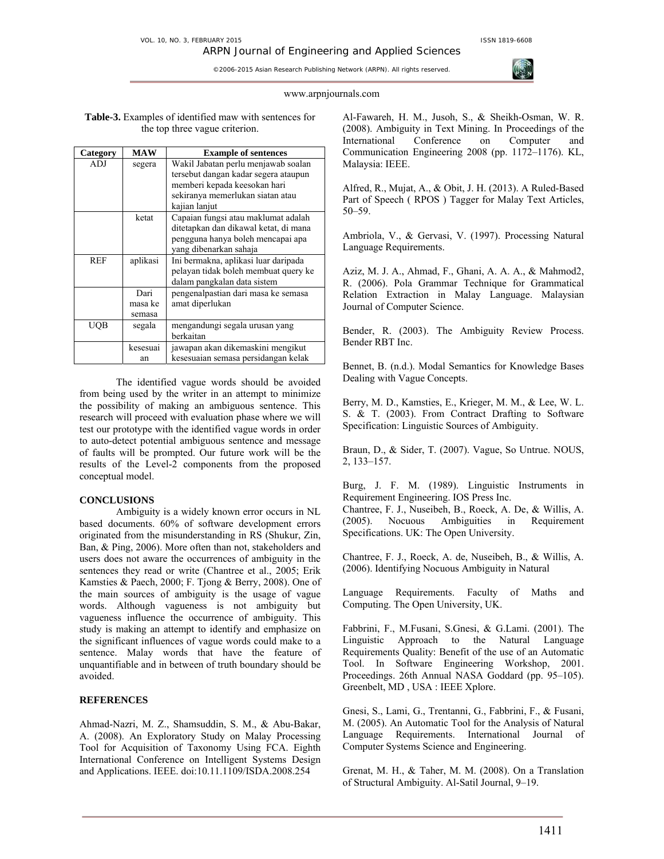### www.arpnjournals.com

**Table-3.** Examples of identified maw with sentences for the top three vague criterion.

| Category   | <b>MAW</b>                | <b>Example of sentences</b>                                                                                                                                      |
|------------|---------------------------|------------------------------------------------------------------------------------------------------------------------------------------------------------------|
| ADJ        | segera                    | Wakil Jabatan perlu menjawab soalan<br>tersebut dangan kadar segera ataupun<br>memberi kepada keesokan hari<br>sekiranya memerlukan siatan atau<br>kajian lanjut |
|            | ketat                     | Capaian fungsi atau maklumat adalah<br>ditetapkan dan dikawal ketat, di mana<br>pengguna hanya boleh mencapai apa<br>yang dibenarkan sahaja                      |
| <b>REF</b> | aplikasi                  | Ini bermakna, aplikasi luar daripada<br>pelayan tidak boleh membuat query ke<br>dalam pangkalan data sistem                                                      |
|            | Dari<br>masa ke<br>semasa | pengenalpastian dari masa ke semasa<br>amat diperlukan                                                                                                           |
| UOB        | segala                    | mengandungi segala urusan yang<br>berkaitan                                                                                                                      |
|            | kesesuai<br>an            | jawapan akan dikemaskini mengikut<br>kesesuaian semasa persidangan kelak                                                                                         |

 The identified vague words should be avoided from being used by the writer in an attempt to minimize the possibility of making an ambiguous sentence. This research will proceed with evaluation phase where we will test our prototype with the identified vague words in order to auto-detect potential ambiguous sentence and message of faults will be prompted. Our future work will be the results of the Level-2 components from the proposed conceptual model.

# **CONCLUSIONS**

 Ambiguity is a widely known error occurs in NL based documents. 60% of software development errors originated from the misunderstanding in RS (Shukur, Zin, Ban, & Ping, 2006). More often than not, stakeholders and users does not aware the occurrences of ambiguity in the sentences they read or write (Chantree et al., 2005; Erik Kamsties & Paech, 2000; F. Tjong & Berry, 2008). One of the main sources of ambiguity is the usage of vague words. Although vagueness is not ambiguity but vagueness influence the occurrence of ambiguity. This study is making an attempt to identify and emphasize on the significant influences of vague words could make to a sentence. Malay words that have the feature of unquantifiable and in between of truth boundary should be avoided.

# **REFERENCES**

Ahmad-Nazri, M. Z., Shamsuddin, S. M., & Abu-Bakar, A. (2008). An Exploratory Study on Malay Processing Tool for Acquisition of Taxonomy Using FCA. Eighth International Conference on Intelligent Systems Design and Applications. IEEE. doi:10.11.1109/ISDA.2008.254

Al-Fawareh, H. M., Jusoh, S., & Sheikh-Osman, W. R. (2008). Ambiguity in Text Mining. In Proceedings of the International Conference on Computer and Communication Engineering 2008 (pp. 1172–1176). KL, Malaysia: IEEE.

Alfred, R., Mujat, A., & Obit, J. H. (2013). A Ruled-Based Part of Speech ( RPOS ) Tagger for Malay Text Articles, 50–59.

Ambriola, V., & Gervasi, V. (1997). Processing Natural Language Requirements.

Aziz, M. J. A., Ahmad, F., Ghani, A. A. A., & Mahmod2, R. (2006). Pola Grammar Technique for Grammatical Relation Extraction in Malay Language. Malaysian Journal of Computer Science.

Bender, R. (2003). The Ambiguity Review Process. Bender RBT Inc.

Bennet, B. (n.d.). Modal Semantics for Knowledge Bases Dealing with Vague Concepts.

Berry, M. D., Kamsties, E., Krieger, M. M., & Lee, W. L. S. & T. (2003). From Contract Drafting to Software Specification: Linguistic Sources of Ambiguity.

Braun, D., & Sider, T. (2007). Vague, So Untrue. NOUS, 2, 133–157.

Burg, J. F. M. (1989). Linguistic Instruments in Requirement Engineering. IOS Press Inc.

Chantree, F. J., Nuseibeh, B., Roeck, A. De, & Willis, A. (2005). Nocuous Ambiguities in Requirement Specifications. UK: The Open University.

Chantree, F. J., Roeck, A. de, Nuseibeh, B., & Willis, A. (2006). Identifying Nocuous Ambiguity in Natural

Language Requirements. Faculty of Maths and Computing. The Open University, UK.

Fabbrini, F., M.Fusani, S.Gnesi, & G.Lami. (2001). The Linguistic Approach to the Natural Language Requirements Quality: Benefit of the use of an Automatic Tool. In Software Engineering Workshop, 2001. Proceedings. 26th Annual NASA Goddard (pp. 95–105). Greenbelt, MD , USA : IEEE Xplore.

Gnesi, S., Lami, G., Trentanni, G., Fabbrini, F., & Fusani, M. (2005). An Automatic Tool for the Analysis of Natural Language Requirements. International Journal of Computer Systems Science and Engineering.

Grenat, M. H., & Taher, M. M. (2008). On a Translation of Structural Ambiguity. Al-Satil Journal, 9–19.